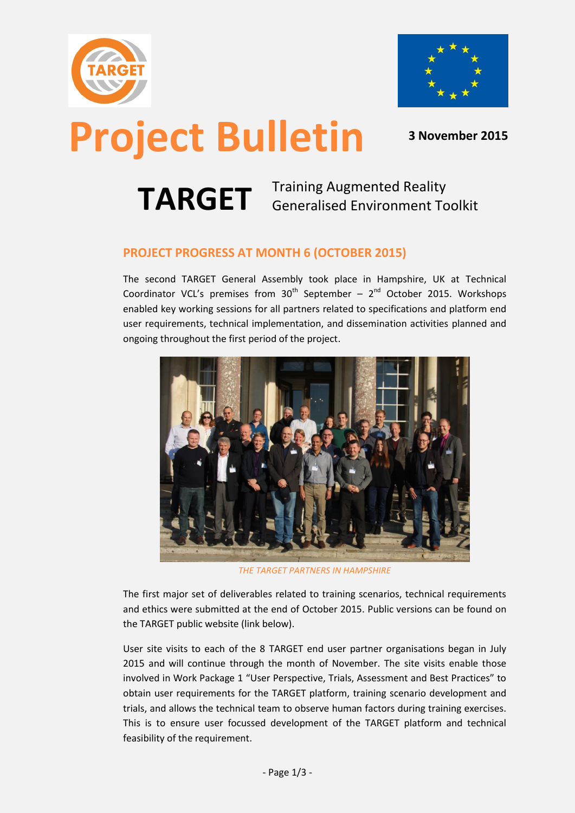



# **Project Bulletin <sup>3</sup> November <sup>2015</sup>**

**TARGET** Training Augmented Reality Generalised Environment Toolkit

#### **PROJECT PROGRESS AT MONTH 6 (OCTOBER 2015)**

The second TARGET General Assembly took place in Hampshire, UK at Technical Coordinator VCL's premises from  $30^{th}$  September -  $2^{nd}$  October 2015. Workshops enabled key working sessions for all partners related to specifications and platform end user requirements, technical implementation, and dissemination activities planned and ongoing throughout the first period of the project.



*THE TARGET PARTNERS IN HAMPSHIRE*

The first major set of deliverables related to training scenarios, technical requirements and ethics were submitted at the end of October 2015. Public versions can be found on the TARGET public website (link below).

User site visits to each of the 8 TARGET end user partner organisations began in July 2015 and will continue through the month of November. The site visits enable those involved in Work Package 1 "User Perspective, Trials, Assessment and Best Practices" to obtain user requirements for the TARGET platform, training scenario development and trials, and allows the technical team to observe human factors during training exercises. This is to ensure user focussed development of the TARGET platform and technical feasibility of the requirement.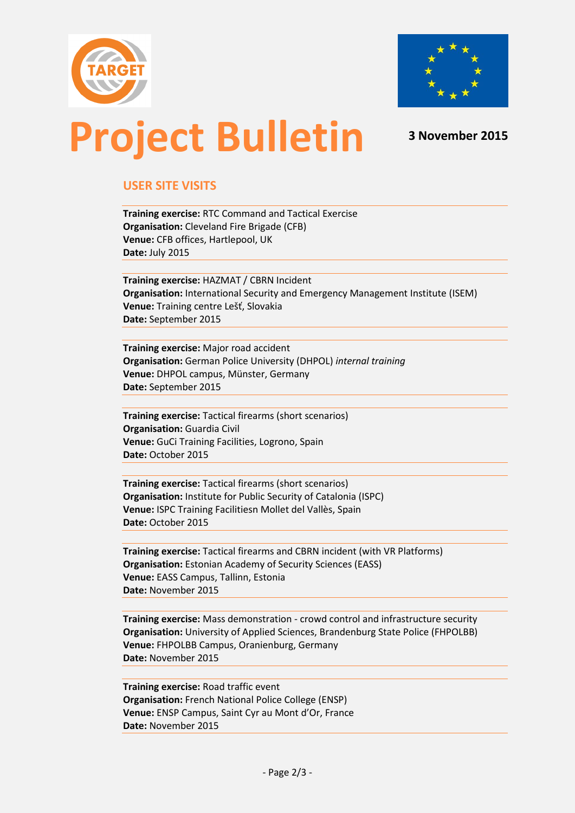



### **Project Bulletin <sup>3</sup> November <sup>2015</sup>**

### **USER SITE VISITS**

**Training exercise:** RTC Command and Tactical Exercise **Organisation:** Cleveland Fire Brigade (CFB) **Venue:** CFB offices, Hartlepool, UK **Date:** July 2015

**Training exercise:** HAZMAT / CBRN Incident **Organisation:** International Security and Emergency Management Institute (ISEM) **Venue:** Training centre Lešť, Slovakia **Date:** September 2015

**Training exercise:** Major road accident **Organisation:** German Police University (DHPOL) *internal training* **Venue:** DHPOL campus, Münster, Germany **Date:** September 2015

**Training exercise:** Tactical firearms (short scenarios) **Organisation:** Guardia Civil **Venue:** GuCi Training Facilities, Logrono, Spain **Date:** October 2015

**Training exercise:** Tactical firearms (short scenarios) **Organisation:** Institute for Public Security of Catalonia (ISPC) **Venue:** ISPC Training Facilitiesn Mollet del Vallès, Spain **Date:** October 2015

**Training exercise:** Tactical firearms and CBRN incident (with VR Platforms) **Organisation:** Estonian Academy of Security Sciences (EASS) **Venue:** EASS Campus, Tallinn, Estonia **Date:** November 2015

**Training exercise:** Mass demonstration - crowd control and infrastructure security **Organisation:** University of Applied Sciences, Brandenburg State Police (FHPOLBB) **Venue:** FHPOLBB Campus, Oranienburg, Germany **Date:** November 2015

**Training exercise:** Road traffic event **Organisation:** French National Police College (ENSP) **Venue:** ENSP Campus, Saint Cyr au Mont d'Or, France **Date:** November 2015